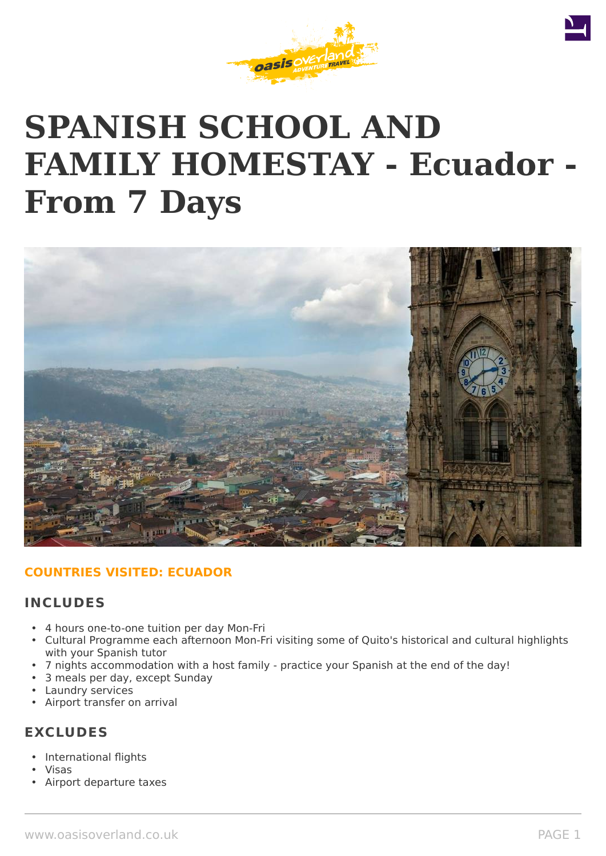

# **SPANISH SCHOOL AND FAMILY HOMESTAY - Ecuador - From 7 Days**



# **COUNTRIES VISITED: ECUADOR**

# **INCLUDES**

- 4 hours one-to-one tuition per day Mon-Fri
- Cultural Programme each afternoon Mon-Fri visiting some of Quito's historical and cultural highlights with your Spanish tutor
- 7 nights accommodation with a host family practice your Spanish at the end of the day!
- 3 meals per day, except Sunday
- Laundry services
- Airport transfer on arrival

# **EXCLUDES**

- International flights
- Visas
- Airport departure taxes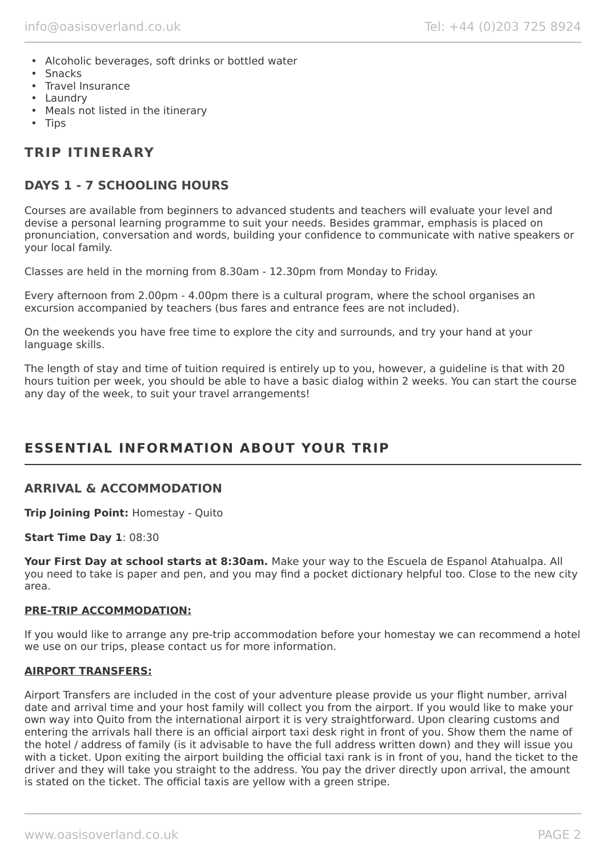- Alcoholic beverages, soft drinks or bottled water
- Snacks
- Travel Insurance
- Laundry
- Meals not listed in the itinerary
- Tips

# **TRIP ITINERARY**

# **DAYS 1 - 7 SCHOOLING HOURS**

Courses are available from beginners to advanced students and teachers will evaluate your level and devise a personal learning programme to suit your needs. Besides grammar, emphasis is placed on pronunciation, conversation and words, building your confidence to communicate with native speakers or your local family.

Classes are held in the morning from 8.30am - 12.30pm from Monday to Friday.

Every afternoon from 2.00pm - 4.00pm there is a cultural program, where the school organises an excursion accompanied by teachers (bus fares and entrance fees are not included).

On the weekends you have free time to explore the city and surrounds, and try your hand at your language skills.

The length of stay and time of tuition required is entirely up to you, however, a guideline is that with 20 hours tuition per week, you should be able to have a basic dialog within 2 weeks. You can start the course any day of the week, to suit your travel arrangements!

# **ESSENTIAL INFORMATION ABOUT YOUR TRIP**

# **ARRIVAL & ACCOMMODATION**

**Trip Joining Point:** Homestay - Quito

**Start Time Day 1**: 08:30

**Your First Day at school starts at 8:30am.** Make your way to the Escuela de Espanol Atahualpa. All you need to take is paper and pen, and you may find a pocket dictionary helpful too. Close to the new city area.

### **PRE-TRIP ACCOMMODATION:**

If you would like to arrange any pre-trip accommodation before your homestay we can recommend a hotel we use on our trips, please contact us for more information.

### **AIRPORT TRANSFERS:**

Airport Transfers are included in the cost of your adventure please provide us your flight number, arrival date and arrival time and your host family will collect you from the airport. If you would like to make your own way into Quito from the international airport it is very straightforward. Upon clearing customs and entering the arrivals hall there is an official airport taxi desk right in front of you. Show them the name of the hotel / address of family (is it advisable to have the full address written down) and they will issue you with a ticket. Upon exiting the airport building the official taxi rank is in front of you, hand the ticket to the driver and they will take you straight to the address. You pay the driver directly upon arrival, the amount is stated on the ticket. The official taxis are yellow with a green stripe.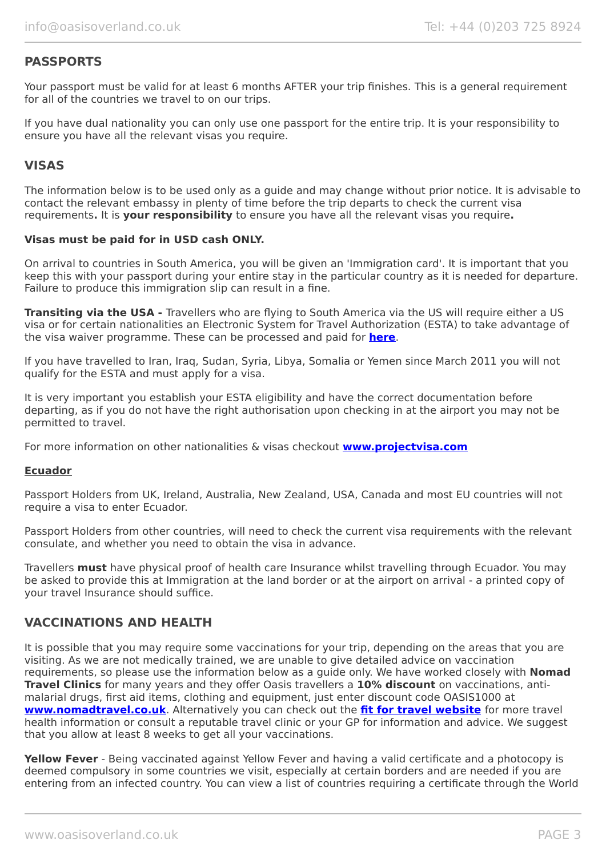# **PASSPORTS**

Your passport must be valid for at least 6 months AFTER your trip finishes. This is a general requirement for all of the countries we travel to on our trips.

If you have dual nationality you can only use one passport for the entire trip. It is your responsibility to ensure you have all the relevant visas you require.

## **VISAS**

The information below is to be used only as a guide and may change without prior notice. It is advisable to contact the relevant embassy in plenty of time before the trip departs to check the current visa requirements**.** It is **your responsibility** to ensure you have all the relevant visas you require**.**

#### **Visas must be paid for in USD cash ONLY.**

On arrival to countries in South America, you will be given an 'Immigration card'. It is important that you keep this with your passport during your entire stay in the particular country as it is needed for departure. Failure to produce this immigration slip can result in a fine.

**Transiting via the USA -** Travellers who are flying to South America via the US will require either a US visa or for certain nationalities an Electronic System for Travel Authorization (ESTA) to take advantage of the visa waiver programme. These can be processed and paid for **[here](https://esta.cbp.dhs.gov/esta/)**.

If you have travelled to Iran, Iraq, Sudan, Syria, Libya, Somalia or Yemen since March 2011 you will not qualify for the ESTA and must apply for a visa.

It is very important you establish your ESTA eligibility and have the correct documentation before departing, as if you do not have the right authorisation upon checking in at the airport you may not be permitted to travel.

For more information on other nationalities & visas checkout **[www.projectvisa.com](http://www.projectvisa.com/)**

### **Ecuador**

Passport Holders from UK, Ireland, Australia, New Zealand, USA, Canada and most EU countries will not require a visa to enter Ecuador.

Passport Holders from other countries, will need to check the current visa requirements with the relevant consulate, and whether you need to obtain the visa in advance.

Travellers **must** have physical proof of health care Insurance whilst travelling through Ecuador. You may be asked to provide this at Immigration at the land border or at the airport on arrival - a printed copy of your travel Insurance should suffice.

### **VACCINATIONS AND HEALTH**

It is possible that you may require some vaccinations for your trip, depending on the areas that you are visiting. As we are not medically trained, we are unable to give detailed advice on vaccination requirements, so please use the information below as a guide only. We have worked closely with **Nomad Travel Clinics** for many years and they offer Oasis travellers a **10% discount** on vaccinations, antimalarial drugs, first aid items, clothing and equipment, just enter discount code OASIS1000 at **[www.nomadtravel.co.uk](http://www.nomadtravel.co.uk/)**. Alternatively you can check out the **[fit for travel website](http://www.fitfortravel.scot.nhs.uk/home.aspx)** for more travel health information or consult a reputable travel clinic or your GP for information and advice. We suggest that you allow at least 8 weeks to get all your vaccinations.

**Yellow Fever** - Being vaccinated against Yellow Fever and having a valid certificate and a photocopy is deemed compulsory in some countries we visit, especially at certain borders and are needed if you are entering from an infected country. You can view a list of countries requiring a certificate through the World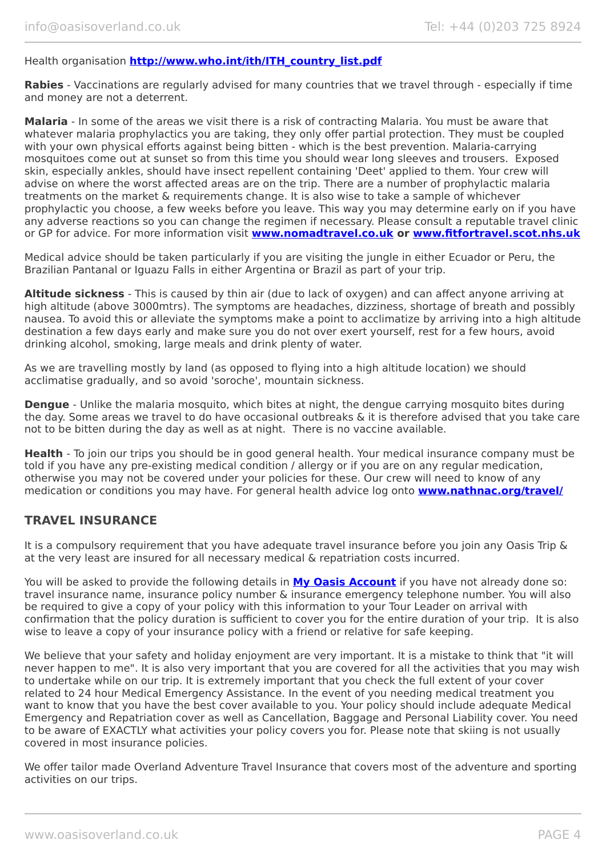### Health organisation **[http://www.who.int/ith/ITH\\_country\\_list.pdf](http://www.who.int/ith/ITH_country_list.pdf)**

**Rabies** - Vaccinations are regularly advised for many countries that we travel through - especially if time and money are not a deterrent.

**Malaria** - In some of the areas we visit there is a risk of contracting Malaria. You must be aware that whatever malaria prophylactics you are taking, they only offer partial protection. They must be coupled with your own physical efforts against being bitten - which is the best prevention. Malaria-carrying mosquitoes come out at sunset so from this time you should wear long sleeves and trousers. Exposed skin, especially ankles, should have insect repellent containing 'Deet' applied to them. Your crew will advise on where the worst affected areas are on the trip. There are a number of prophylactic malaria treatments on the market & requirements change. It is also wise to take a sample of whichever prophylactic you choose, a few weeks before you leave. This way you may determine early on if you have any adverse reactions so you can change the regimen if necessary. Please consult a reputable travel clinic or GP for advice. For more information visit **[www.nomadtravel.co.uk](https://www.nomadtravel.co.uk/) or [www.fitfortravel.scot.nhs.uk](http://www.fitfortravel.scot.nhs.uk/)**

Medical advice should be taken particularly if you are visiting the jungle in either Ecuador or Peru, the Brazilian Pantanal or Iguazu Falls in either Argentina or Brazil as part of your trip.

**Altitude sickness** - This is caused by thin air (due to lack of oxygen) and can affect anyone arriving at high altitude (above 3000mtrs). The symptoms are headaches, dizziness, shortage of breath and possibly nausea. To avoid this or alleviate the symptoms make a point to acclimatize by arriving into a high altitude destination a few days early and make sure you do not over exert yourself, rest for a few hours, avoid drinking alcohol, smoking, large meals and drink plenty of water.

As we are travelling mostly by land (as opposed to flying into a high altitude location) we should acclimatise gradually, and so avoid 'soroche', mountain sickness.

**Dengue** - Unlike the malaria mosquito, which bites at night, the dengue carrying mosquito bites during the day. Some areas we travel to do have occasional outbreaks & it is therefore advised that you take care not to be bitten during the day as well as at night. There is no vaccine available.

**Health** - To join our trips you should be in good general health. Your medical insurance company must be told if you have any pre-existing medical condition / allergy or if you are on any regular medication, otherwise you may not be covered under your policies for these. Our crew will need to know of any medication or conditions you may have. For general health advice log onto **[www.nathnac.org/travel/](http://www.nathnac.org/travel/index.htm)**

## **TRAVEL INSURANCE**

It is a compulsory requirement that you have adequate travel insurance before you join any Oasis Trip & at the very least are insured for all necessary medical & repatriation costs incurred.

You will be asked to provide the following details in **My [Oasis Account](https://oasisportal.eecsoftware.com/)** if you have not already done so: travel insurance name, insurance policy number & insurance emergency telephone number. You will also be required to give a copy of your policy with this information to your Tour Leader on arrival with confirmation that the policy duration is sufficient to cover you for the entire duration of your trip. It is also wise to leave a copy of your insurance policy with a friend or relative for safe keeping.

We believe that your safety and holiday enjoyment are very important. It is a mistake to think that "it will never happen to me". It is also very important that you are covered for all the activities that you may wish to undertake while on our trip. It is extremely important that you check the full extent of your cover related to 24 hour Medical Emergency Assistance. In the event of you needing medical treatment you want to know that you have the best cover available to you. Your policy should include adequate Medical Emergency and Repatriation cover as well as Cancellation, Baggage and Personal Liability cover. You need to be aware of EXACTLY what activities your policy covers you for. Please note that skiing is not usually covered in most insurance policies.

We offer tailor made Overland Adventure Travel Insurance that covers most of the adventure and sporting activities on our trips.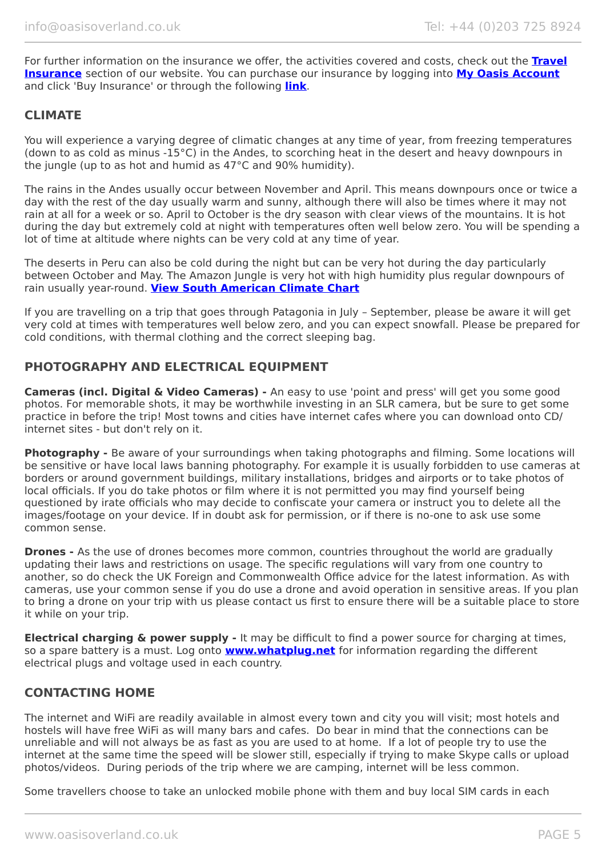For further information on the insurance we offer, the activities covered and costs, check out the **[Travel](https://www.oasisoverland.co.uk/travel-insurance) [Insurance](https://www.oasisoverland.co.uk/travel-insurance)** section of our website. You can purchase our insurance by logging into **[My Oasis Account](https://oasisportal.eecsoftware.com/)** and click 'Buy Insurance' or through the following **[link](https://www.campbellirvinedirect.com/oasisoverland/)**.

## **CLIMATE**

You will experience a varying degree of climatic changes at any time of year, from freezing temperatures (down to as cold as minus -15°C) in the Andes, to scorching heat in the desert and heavy downpours in the jungle (up to as hot and humid as 47°C and 90% humidity).

The rains in the Andes usually occur between November and April. This means downpours once or twice a day with the rest of the day usually warm and sunny, although there will also be times where it may not rain at all for a week or so. April to October is the dry season with clear views of the mountains. It is hot during the day but extremely cold at night with temperatures often well below zero. You will be spending a lot of time at altitude where nights can be very cold at any time of year.

The deserts in Peru can also be cold during the night but can be very hot during the day particularly between October and May. The Amazon Jungle is very hot with high humidity plus regular downpours of rain usually year-round. **[View South American Climate Chart](https://www.oasisoverland.co.uk/south-american-climate-chart)**

If you are travelling on a trip that goes through Patagonia in July – September, please be aware it will get very cold at times with temperatures well below zero, and you can expect snowfall. Please be prepared for cold conditions, with thermal clothing and the correct sleeping bag.

## **PHOTOGRAPHY AND ELECTRICAL EQUIPMENT**

**Cameras (incl. Digital & Video Cameras) -** An easy to use 'point and press' will get you some good photos. For memorable shots, it may be worthwhile investing in an SLR camera, but be sure to get some practice in before the trip! Most towns and cities have internet cafes where you can download onto CD/ internet sites - but don't rely on it.

**Photography -** Be aware of your surroundings when taking photographs and filming. Some locations will be sensitive or have local laws banning photography. For example it is usually forbidden to use cameras at borders or around government buildings, military installations, bridges and airports or to take photos of local officials. If you do take photos or film where it is not permitted you may find yourself being questioned by irate officials who may decide to confiscate your camera or instruct you to delete all the images/footage on your device. If in doubt ask for permission, or if there is no-one to ask use some common sense.

**Drones** - As the use of drones becomes more common, countries throughout the world are gradually updating their laws and restrictions on usage. The specific regulations will vary from one country to another, so do check the UK Foreign and Commonwealth Office advice for the latest information. As with cameras, use your common sense if you do use a drone and avoid operation in sensitive areas. If you plan to bring a drone on your trip with us please contact us first to ensure there will be a suitable place to store it while on your trip.

**Electrical charging & power supply -** It may be difficult to find a power source for charging at times, so a spare battery is a must. Log onto **[www.whatplug.net](http://www.whatplug.net/)** for information regarding the different electrical plugs and voltage used in each country.

# **CONTACTING HOME**

The internet and WiFi are readily available in almost every town and city you will visit; most hotels and hostels will have free WiFi as will many bars and cafes. Do bear in mind that the connections can be unreliable and will not always be as fast as you are used to at home. If a lot of people try to use the internet at the same time the speed will be slower still, especially if trying to make Skype calls or upload photos/videos. During periods of the trip where we are camping, internet will be less common.

Some travellers choose to take an unlocked mobile phone with them and buy local SIM cards in each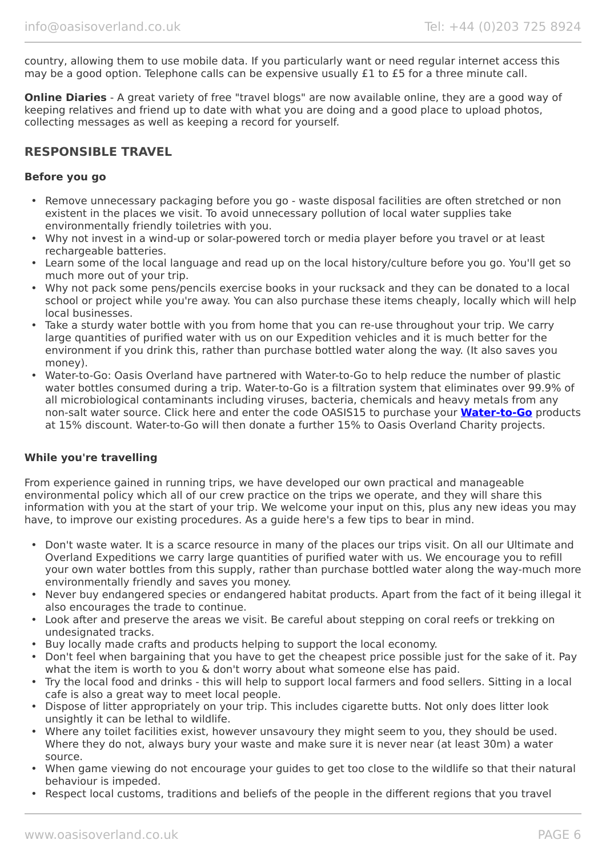country, allowing them to use mobile data. If you particularly want or need regular internet access this may be a good option. Telephone calls can be expensive usually £1 to £5 for a three minute call.

**Online Diaries** - A great variety of free "travel blogs" are now available online, they are a good way of keeping relatives and friend up to date with what you are doing and a good place to upload photos, collecting messages as well as keeping a record for yourself.

# **RESPONSIBLE TRAVEL**

#### **Before you go**

- Remove unnecessary packaging before you go waste disposal facilities are often stretched or non existent in the places we visit. To avoid unnecessary pollution of local water supplies take environmentally friendly toiletries with you.
- Why not invest in a wind-up or solar-powered torch or media player before you travel or at least rechargeable batteries.
- Learn some of the local language and read up on the local history/culture before you go. You'll get so much more out of your trip.
- Why not pack some pens/pencils exercise books in your rucksack and they can be donated to a local school or project while you're away. You can also purchase these items cheaply, locally which will help local businesses.
- Take a sturdy water bottle with you from home that you can re-use throughout your trip. We carry large quantities of purified water with us on our Expedition vehicles and it is much better for the environment if you drink this, rather than purchase bottled water along the way. (It also saves you money).
- Water-to-Go: Oasis Overland have partnered with Water-to-Go to help reduce the number of plastic water bottles consumed during a trip. Water-to-Go is a filtration system that eliminates over 99.9% of all microbiological contaminants including viruses, bacteria, chemicals and heavy metals from any non-salt water source. Click here and enter the code OASIS15 to purchase your **[Water-to-Go](https://watertogo.eu/partnerships/oasisoverland/)** products at 15% discount. Water-to-Go will then donate a further 15% to Oasis Overland Charity projects.

### **While you're travelling**

From experience gained in running trips, we have developed our own practical and manageable environmental policy which all of our crew practice on the trips we operate, and they will share this information with you at the start of your trip. We welcome your input on this, plus any new ideas you may have, to improve our existing procedures. As a guide here's a few tips to bear in mind.

- Don't waste water. It is a scarce resource in many of the places our trips visit. On all our Ultimate and Overland Expeditions we carry large quantities of purified water with us. We encourage you to refill your own water bottles from this supply, rather than purchase bottled water along the way-much more environmentally friendly and saves you money.
- Never buy endangered species or endangered habitat products. Apart from the fact of it being illegal it also encourages the trade to continue.
- Look after and preserve the areas we visit. Be careful about stepping on coral reefs or trekking on undesignated tracks.
- Buy locally made crafts and products helping to support the local economy.
- Don't feel when bargaining that you have to get the cheapest price possible just for the sake of it. Pay what the item is worth to you & don't worry about what someone else has paid.
- Try the local food and drinks this will help to support local farmers and food sellers. Sitting in a local cafe is also a great way to meet local people.
- Dispose of litter appropriately on your trip. This includes cigarette butts. Not only does litter look unsightly it can be lethal to wildlife.
- Where any toilet facilities exist, however unsavoury they might seem to you, they should be used. Where they do not, always bury your waste and make sure it is never near (at least 30m) a water source.
- When game viewing do not encourage your guides to get too close to the wildlife so that their natural behaviour is impeded.
- Respect local customs, traditions and beliefs of the people in the different regions that you travel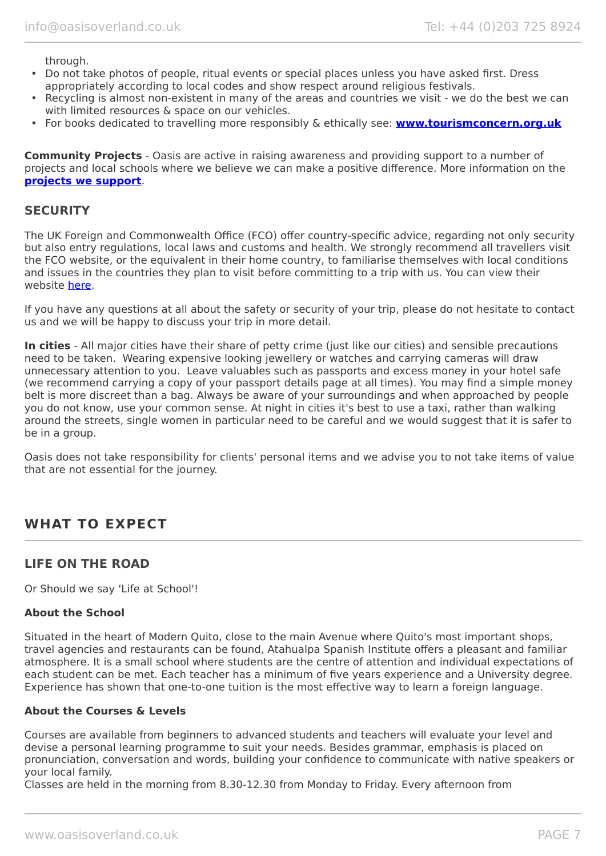through.

- Do not take photos of people, ritual events or special places unless you have asked first. Dress appropriately according to local codes and show respect around religious festivals.
- Recycling is almost non-existent in many of the areas and countries we visit we do the best we can with limited resources & space on our vehicles.
- For books dedicated to travelling more responsibly & ethically see: **[www.tourismconcern.org.uk](https://www.tourismconcern.org.uk/)**

**Community Projects** - Oasis are active in raising awareness and providing support to a number of projects and local schools where we believe we can make a positive difference. More information on the **[projects we support](https://www.oasisoverland.co.uk/responsible-travel/charities-we-support)**.

## **SECURITY**

The UK Foreign and Commonwealth Office (FCO) offer country-specific advice, regarding not only security but also entry regulations, local laws and customs and health. We strongly recommend all travellers visit the FCO website, or the equivalent in their home country, to familiarise themselves with local conditions and issues in the countries they plan to visit before committing to a trip with us. You can view their website [here.](https://www.gov.uk/foreign-travel-advice)

If you have any questions at all about the safety or security of your trip, please do not hesitate to contact us and we will be happy to discuss your trip in more detail.

**In cities** - All major cities have their share of petty crime (just like our cities) and sensible precautions need to be taken. Wearing expensive looking jewellery or watches and carrying cameras will draw unnecessary attention to you. Leave valuables such as passports and excess money in your hotel safe (we recommend carrying a copy of your passport details page at all times). You may find a simple money belt is more discreet than a bag. Always be aware of your surroundings and when approached by people you do not know, use your common sense. At night in cities it's best to use a taxi, rather than walking around the streets, single women in particular need to be careful and we would suggest that it is safer to be in a group.

Oasis does not take responsibility for clients' personal items and we advise you to not take items of value that are not essential for the journey.

# **WHAT TO EXPECT**

## **LIFE ON THE ROAD**

Or Should we say 'Life at School'!

### **About the School**

Situated in the heart of Modern Quito, close to the main Avenue where Quito's most important shops, travel agencies and restaurants can be found, Atahualpa Spanish Institute offers a pleasant and familiar atmosphere. It is a small school where students are the centre of attention and individual expectations of each student can be met. Each teacher has a minimum of five years experience and a University degree. Experience has shown that one-to-one tuition is the most effective way to learn a foreign language.

### **About the Courses & Levels**

Courses are available from beginners to advanced students and teachers will evaluate your level and devise a personal learning programme to suit your needs. Besides grammar, emphasis is placed on pronunciation, conversation and words, building your confidence to communicate with native speakers or your local family.

Classes are held in the morning from 8.30-12.30 from Monday to Friday. Every afternoon from